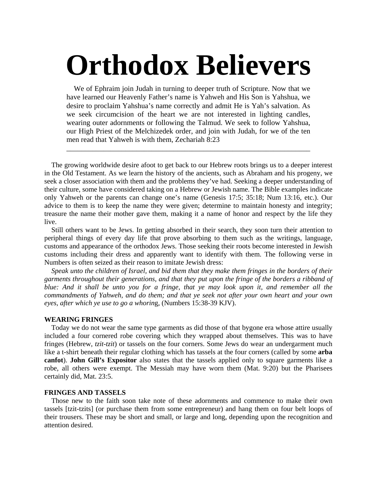# **Orthodox Believers**

 We of Ephraim join Judah in turning to deeper truth of Scripture. Now that we have learned our Heavenly Father's name is Yahweh and His Son is Yahshua, we desire to proclaim Yahshua's name correctly and admit He is Yah's salvation. As we seek circumcision of the heart we are not interested in lighting candles, wearing outer adornments or following the Talmud. We seek to follow Yahshua, our High Priest of the Melchizedek order, and join with Judah, for we of the ten men read that Yahweh is with them, Zechariah 8:23

\_\_\_\_\_\_\_\_\_\_\_\_\_\_\_\_\_\_\_\_\_\_\_\_\_\_\_\_\_\_\_\_\_\_\_\_\_\_\_\_\_\_\_\_\_\_\_\_\_\_\_\_\_\_\_\_\_\_\_\_\_\_\_\_\_\_

 The growing worldwide desire afoot to get back to our Hebrew roots brings us to a deeper interest in the Old Testament. As we learn the history of the ancients, such as Abraham and his progeny, we seek a closer association with them and the problems they've had. Seeking a deeper understanding of their culture, some have considered taking on a Hebrew or Jewish name. The Bible examples indicate only Yahweh or the parents can change one's name (Genesis 17:5; 35:18; Num 13:16, etc.). Our advice to them is to keep the name they were given; determine to maintain honesty and integrity; treasure the name their mother gave them, making it a name of honor and respect by the life they live.

 Still others want to be Jews. In getting absorbed in their search, they soon turn their attention to peripheral things of every day life that prove absorbing to them such as the writings, language, customs and appearance of the orthodox Jews. Those seeking their roots become interested in Jewish customs including their dress and apparently want to identify with them. The following verse in Numbers is often seized as their reason to imitate Jewish dress:

 *Speak unto the children of Israel, and bid them that they make them fringes in the borders of their garments throughout their generations, and that they put upon the fringe of the borders a ribband of blue: And it shall be unto you for a fringe, that ye may look upon it, and remember all the commandments of Yahweh, and do them; and that ye seek not after your own heart and your own eyes, after which ye use to go a whorin*g, (Numbers 15:38-39 KJV).

# **WEARING FRINGES**

 Today we do not wear the same type garments as did those of that bygone era whose attire usually included a four cornered robe covering which they wrapped about themselves. This was to have fringes (Hebrew, *tzit-tzit*) or tassels on the four corners. Some Jews do wear an undergarment much like a t-shirt beneath their regular clothing which has tassels at the four corners (called by some **arba canfot**). **John Gill's Expositor** also states that the tassels applied only to square garments like a robe, all others were exempt. The Messiah may have worn them (Mat. 9:20) but the Pharisees certainly did, Mat. 23:5.

# **FRINGES AND TASSELS**

 Those new to the faith soon take note of these adornments and commence to make their own tassels [tzit-tzits] (or purchase them from some entrepreneur) and hang them on four belt loops of their trousers. These may be short and small, or large and long, depending upon the recognition and attention desired.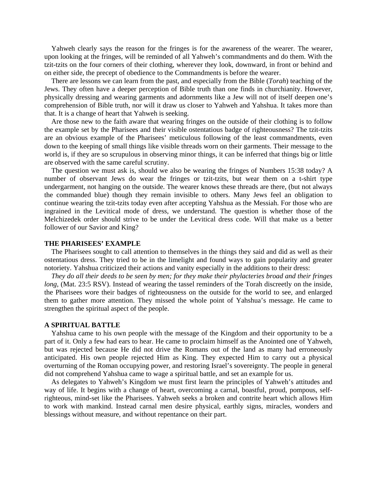Yahweh clearly says the reason for the fringes is for the awareness of the wearer. The wearer, upon looking at the fringes, will be reminded of all Yahweh's commandments and do them. With the tzit-tzits on the four corners of their clothing, wherever they look, downward, in front or behind and on either side, the precept of obedience to the Commandments is before the wearer.

 There are lessons we can learn from the past, and especially from the Bible (*Torah*) teaching of the Jews. They often have a deeper perception of Bible truth than one finds in churchianity. However, physically dressing and wearing garments and adornments like a Jew will not of itself deepen one's comprehension of Bible truth, nor will it draw us closer to Yahweh and Yahshua. It takes more than that. It is a change of heart that Yahweh is seeking.

 Are those new to the faith aware that wearing fringes on the outside of their clothing is to follow the example set by the Pharisees and their visible ostentatious badge of righteousness? The tzit-tzits are an obvious example of the Pharisees' meticulous following of the least commandments, even down to the keeping of small things like visible threads worn on their garments. Their message to the world is, if they are so scrupulous in observing minor things, it can be inferred that things big or little are observed with the same careful scrutiny.

 The question we must ask is, should we also be wearing the fringes of Numbers 15:38 today? A number of observant Jews do wear the fringes or tzit-tzits, but wear them on a t-shirt type undergarment, not hanging on the outside. The wearer knows these threads are there, (but not always the commanded blue) though they remain invisible to others. Many Jews feel an obligation to continue wearing the tzit-tzits today even after accepting Yahshua as the Messiah. For those who are ingrained in the Levitical mode of dress, we understand. The question is whether those of the Melchizedek order should strive to be under the Levitical dress code. Will that make us a better follower of our Savior and King?

## **THE PHARISEES' EXAMPLE**

 The Pharisees sought to call attention to themselves in the things they said and did as well as their ostentatious dress. They tried to be in the limelight and found ways to gain popularity and greater notoriety. Yahshua criticized their actions and vanity especially in the additions to their dress:

 *They do all their deeds to be seen by men; for they make their phylacteries broad and their fringes long*, (Mat. 23:5 RSV). Instead of wearing the tassel reminders of the Torah discreetly on the inside, the Pharisees wore their badges of righteousness on the outside for the world to see, and enlarged them to gather more attention. They missed the whole point of Yahshua's message. He came to strengthen the spiritual aspect of the people.

## **A SPIRITUAL BATTLE**

 Yahshua came to his own people with the message of the Kingdom and their opportunity to be a part of it. Only a few had ears to hear. He came to proclaim himself as the Anointed one of Yahweh, but was rejected because He did not drive the Romans out of the land as many had erroneously anticipated. His own people rejected Him as King. They expected Him to carry out a physical overturning of the Roman occupying power, and restoring Israel's sovereignty. The people in general did not comprehend Yahshua came to wage a spiritual battle, and set an example for us.

 As delegates to Yahweh's Kingdom we must first learn the principles of Yahweh's attitudes and way of life. It begins with a change of heart, overcoming a carnal, boastful, proud, pompous, selfrighteous, mind-set like the Pharisees. Yahweh seeks a broken and contrite heart which allows Him to work with mankind. Instead carnal men desire physical, earthly signs, miracles, wonders and blessings without measure, and without repentance on their part.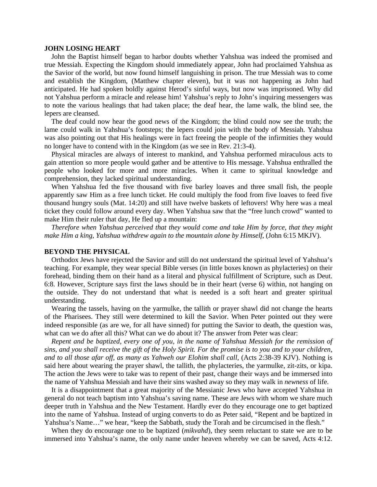#### **JOHN LOSING HEART**

 John the Baptist himself began to harbor doubts whether Yahshua was indeed the promised and true Messiah. Expecting the Kingdom should immediately appear, John had proclaimed Yahshua as the Savior of the world, but now found himself languishing in prison. The true Messiah was to come and establish the Kingdom, (Matthew chapter eleven), but it was not happening as John had anticipated. He had spoken boldly against Herod's sinful ways, but now was imprisoned. Why did not Yahshua perform a miracle and release him! Yahshua's reply to John's inquiring messengers was to note the various healings that had taken place; the deaf hear, the lame walk, the blind see, the lepers are cleansed.

 The deaf could now hear the good news of the Kingdom; the blind could now see the truth; the lame could walk in Yahshua's footsteps; the lepers could join with the body of Messiah. Yahshua was also pointing out that His healings were in fact freeing the people of the infirmities they would no longer have to contend with in the Kingdom (as we see in Rev. 21:3-4).

 Physical miracles are always of interest to mankind, and Yahshua performed miraculous acts to gain attention so more people would gather and be attentive to His message. Yahshua enthralled the people who looked for more and more miracles. When it came to spiritual knowledge and comprehension, they lacked spiritual understanding.

 When Yahshua fed the five thousand with five barley loaves and three small fish, the people apparently saw Him as a free lunch ticket. He could multiply the food from five loaves to feed five thousand hungry souls (Mat. 14:20) and still have twelve baskets of leftovers! Why here was a meal ticket they could follow around every day. When Yahshua saw that the "free lunch crowd" wanted to make Him their ruler that day, He fled up a mountain:

 *Therefore when Yahshua perceived that they would come and take Him by force, that they might make Him a king, Yahshua withdrew again to the mountain alone by Himself*, (John 6:15 MKJV).

## **BEYOND THE PHYSICAL**

 Orthodox Jews have rejected the Savior and still do not understand the spiritual level of Yahshua's teaching. For example, they wear special Bible verses (in little boxes known as phylacteries) on their forehead, binding them on their hand as a literal and physical fulfillment of Scripture, such as Deut. 6:8. However, Scripture says first the laws should be in their heart (verse 6) within, not hanging on the outside. They do not understand that what is needed is a soft heart and greater spiritual understanding.

 Wearing the tassels, having on the yarmulke, the tallith or prayer shawl did not change the hearts of the Pharisees. They still were determined to kill the Savior. When Peter pointed out they were indeed responsible (as are we, for all have sinned) for putting the Savior to death, the question was, what can we do after all this? What can we do about it? The answer from Peter was clear:

 *Repent and be baptized, every one of you, in the name of Yahshua Messiah for the remission of sins, and you shall receive the gift of the Holy Spirit. For the promise is to you and to your children, and to all those afar off, as many as Yahweh our Elohim shall call,* (Acts 2:38-39 KJV). Nothing is said here about wearing the prayer shawl, the tallith, the phylacteries, the yarmulke, zit-zits, or kipa. The action the Jews were to take was to repent of their past, change their ways and be immersed into the name of Yahshua Messiah and have their sins washed away so they may walk in *newness* of life.

 It is a disappointment that a great majority of the Messianic Jews who have accepted Yahshua in general do not teach baptism into Yahshua's saving name. These are Jews with whom we share much deeper truth in Yahshua and the New Testament. Hardly ever do they encourage one to get baptized into the name of Yahshua. Instead of urging converts to do as Peter said, "Repent and be baptized in Yahshua's Name…" we hear, "keep the Sabbath, study the Torah and be circumcised in the flesh."

 When they do encourage one to be baptized (*mikvahd*), they seem reluctant to state we are to be immersed into Yahshua's name, the only name under heaven whereby we can be saved, Acts 4:12.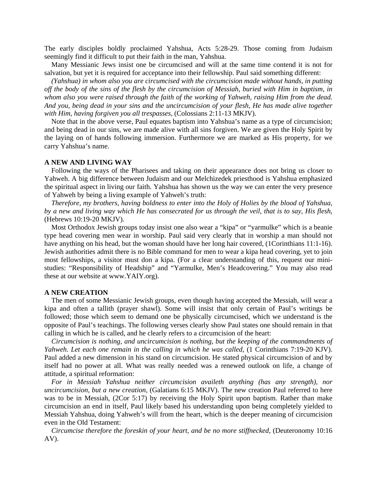The early disciples boldly proclaimed Yahshua, Acts 5:28-29. Those coming from Judaism seemingly find it difficult to put their faith in the man, Yahshua.

 Many Messianic Jews insist one be circumcised and will at the same time contend it is not for salvation, but yet it is required for acceptance into their fellowship. Paul said something different:

 *(Yahshua) in whom also you are circumcised with the circumcision made without hands, in putting off the body of the sins of the flesh by the circumcision of Messiah, buried with Him in baptism, in whom also you were raised through the faith of the working of Yahweh, raising Him from the dead. And you, being dead in your sins and the uncircumcision of your flesh, He has made alive together with Him, having forgiven you all trespasses*, (Colossians 2:11-13 MKJV).

 Note that in the above verse, Paul equates baptism into Yahshua's name as a type of circumcision; and being dead in our sins, we are made alive with all sins forgiven. We are given the Holy Spirit by the laying on of hands following immersion. Furthermore we are marked as His property, for we carry Yahshua's name.

# **A NEW AND LIVING WAY**

 Following the ways of the Pharisees and taking on their appearance does not bring us closer to Yahweh. A big difference between Judaism and our Melchizedek priesthood is Yahshua emphasized the spiritual aspect in living our faith. Yahshua has shown us the way we can enter the very presence of Yahweh by being a living example of Yahweh's truth:

 *Therefore, my brothers, having boldness to enter into the Holy of Holies by the blood of Yahshua, by a new and living way which He has consecrated for us through the veil, that is to say, His flesh*, (Hebrews 10:19-20 MKJV).

 Most Orthodox Jewish groups today insist one also wear a "kipa" or "yarmulke" which is a beanie type head covering men wear in worship. Paul said very clearly that in worship a man should not have anything on his head, but the woman should have her long hair covered, (1Corinthians 11:1-16). Jewish authorities admit there is no Bible command for men to wear a kipa head covering, yet to join most fellowships, a visitor must don a kipa. (For a clear understanding of this, request our ministudies: "Responsibility of Headship" and "Yarmulke, Men's Headcovering." You may also read these at our website at www.YAIY.org).

#### **A NEW CREATION**

 The men of some Messianic Jewish groups, even though having accepted the Messiah, will wear a kipa and often a tallith (prayer shawl). Some will insist that only certain of Paul's writings be followed; those which seem to demand one be physically circumcised, which we understand is the opposite of Paul's teachings. The following verses clearly show Paul states one should remain in that calling in which he is called, and he clearly refers to a circumcision of the heart:

 *Circumcision is nothing, and uncircumcision is nothing, but the keeping of the commandments of Yahweh. Let each one remain in the calling in which he was called,* (1 Corinthians 7:19-20 KJV). Paul added a new dimension in his stand on circumcision. He stated physical circumcision of and by itself had no power at all. What was really needed was a renewed outlook on life, a change of attitude, a spiritual reformation:

 *For in Messiah Yahshua neither circumcision availeth anything (has any strength), nor uncircumcision, but a new creation,* (Galatians 6:15 MKJV). The new creation Paul referred to here was to be in Messiah, (2Cor 5:17) by receiving the Holy Spirit upon baptism. Rather than make circumcision an end in itself, Paul likely based his understanding upon being completely yielded to Messiah Yahshua, doing Yahweh's will from the heart, which is the deeper meaning of circumcision even in the Old Testament:

 *Circumcise therefore the foreskin of your heart, and be no more stiffnecked*, (Deuteronomy 10:16 AV).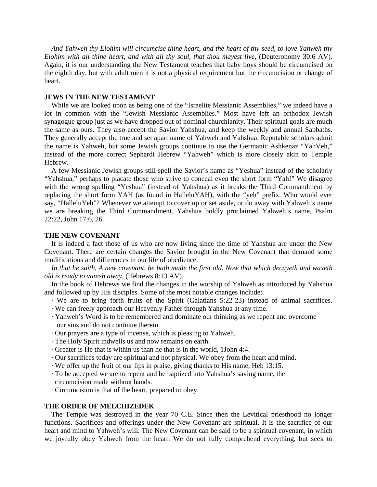*And Yahweh thy Elohim will circumcise thine heart, and the heart of thy seed, to love Yahweh thy Elohim with all thine heart, and with all thy soul, that thou mayest live*, (Deuteronomy 30:6 AV). Again, it is our understanding the New Testament teaches that baby boys should be circumcised on the eighth day, but with adult men it is not a physical requirement but the circumcision or change of heart.

# **JEWS IN THE NEW TESTAMENT**

 While we are looked upon as being one of the "Israelite Messianic Assemblies," we indeed have a lot in common with the "Jewish Messianic Assemblies." Most have left an orthodox Jewish synagogue group just as we have dropped out of nominal churchianity. Their spiritual goals are much the same as ours. They also accept the Savior Yahshua, and keep the weekly and annual Sabbaths. They generally accept the true and set apart name of Yahweh and Yahshua. Reputable scholars admit the name is Yahweh, but some Jewish groups continue to use the Germanic Ashkenaz "YahVeh," instead of the more correct Sephardi Hebrew "Yahweh" which is more closely akin to Temple Hebrew.

 A few Messianic Jewish groups still spell the Savior's name as "Yeshua" instead of the scholarly "Yahshua," perhaps to placate those who strive to conceal even the short form "Yah!" We disagree with the wrong spelling "Yeshua" (instead of Yahshua) as it breaks the Third Commandment by replacing the short form YAH (as found in HalleluYAH), with the "yeh" prefix. Who would ever say, "HalleluYeh"? Whenever we attempt to cover up or set aside, or do away with Yahweh's name we are breaking the Third Commandment. Yahshua boldly proclaimed Yahweh's name, Psalm 22:22, John 17:6, 26.

# **THE NEW COVENANT**

 It is indeed a fact those of us who are now living since the time of Yahshua are under the New Covenant. There are certain changes the Savior brought in the New Covenant that demand some modifications and differences in our life of obedience.

 *In that he saith, A new covenant, he hath made the first old. Now that which decayeth and waxeth old is ready to vanish away*, (Hebrews 8:13 AV).

 In the book of Hebrews we find the changes in the worship of Yahweh as introduced by Yahshua and followed up by His disciples. Some of the most notable changes include:

- · We are to bring forth fruits of the Spirit (Galatians 5:22-23) instead of animal sacrifices.
- · We can freely approach our Heavenly Father through Yahshua at any time.
- · Yahweh's Word is to be remembered and dominate our thinking as we repent and overcome our sins and do not continue therein.
- · Our prayers are a type of incense, which is pleasing to Yahweh.
- · The Holy Spirit indwells us and now remains on earth.
- · Greater is He that is within us than he that is in the world, 1John 4:4.
- · Our sacrifices today are spiritual and not physical. We obey from the heart and mind.
- · We offer up the fruit of our lips in praise, giving thanks to His name, Heb 13:15.
- · To be accepted we are to repent and be baptized into Yahshua's saving name, the circumcision made without hands.
- · Circumcision is that of the heart, prepared to obey.

# **THE ORDER OF MELCHIZEDEK**

 The Temple was destroyed in the year 70 C.E. Since then the Levitical priesthood no longer functions. Sacrifices and offerings under the New Covenant are spiritual. It is the sacrifice of our heart and mind to Yahweh's will. The New Covenant can be said to be a spiritual covenant, in which we joyfully obey Yahweh from the heart. We do not fully comprehend everything, but seek to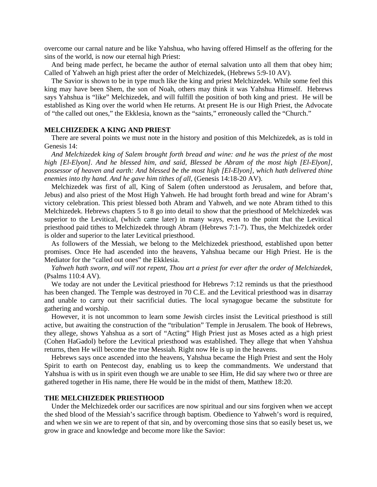overcome our carnal nature and be like Yahshua, who having offered Himself as the offering for the sins of the world, is now our eternal high Priest:

 And being made perfect, he became the author of eternal salvation unto all them that obey him; Called of Yahweh an high priest after the order of Melchizedek, (Hebrews 5:9-10 AV).

 The Savior is shown to be in type much like the king and priest Melchizedek. While some feel this king may have been Shem, the son of Noah, others may think it was Yahshua Himself. Hebrews says Yahshua is "like" Melchizedek, and will fulfill the position of both king and priest. He will be established as King over the world when He returns. At present He is our High Priest, the Advocate of "the called out ones," the Ekklesia, known as the "saints," erroneously called the "Church."

## **MELCHIZEDEK A KING AND PRIEST**

 There are several points we must note in the history and position of this Melchizedek, as is told in Genesis 14:

 *And Melchizedek king of Salem brought forth bread and wine: and he was the priest of the most high [El-Elyon]. And he blessed him, and said, Blessed be Abram of the most high [El-Elyon], possessor of heaven and earth: And blessed be the most high [El-Elyon], which hath delivered thine enemies into thy hand. And he gave him tithes of all*, (Genesis 14:18-20 AV).

 Melchizedek was first of all, King of Salem (often understood as Jerusalem, and before that, Jebus) and also priest of the Most High Yahweh. He had brought forth bread and wine for Abram's victory celebration. This priest blessed both Abram and Yahweh, and we note Abram tithed to this Melchizedek. Hebrews chapters 5 to 8 go into detail to show that the priesthood of Melchizedek was superior to the Levitical, (which came later) in many ways, even to the point that the Levitical priesthood paid tithes to Melchizedek through Abram (Hebrews 7:1-7). Thus, the Melchizedek order is older and superior to the later Levitical priesthood.

 As followers of the Messiah, we belong to the Melchizedek priesthood, established upon better promises. Once He had ascended into the heavens, Yahshua became our High Priest. He is the Mediator for the "called out ones" the Ekklesia.

 *Yahweh hath sworn, and will not repent, Thou art a priest for ever after the order of Melchizedek,*  (Psalms 110:4 AV).

We today are not under the Levitical priesthood for Hebrews 7:12 reminds us that the priesthood has been changed. The Temple was destroyed in 70 C.E. and the Levitical priesthood was in disarray and unable to carry out their sacrificial duties. The local synagogue became the substitute for gathering and worship.

 However, it is not uncommon to learn some Jewish circles insist the Levitical priesthood is still active, but awaiting the construction of the "tribulation" Temple in Jerusalem. The book of Hebrews, they allege, shows Yahshua as a sort of "Acting" High Priest just as Moses acted as a high priest (Cohen HaGadol) before the Levitical priesthood was established. They allege that when Yahshua returns, then He will become the true Messiah. Right now He is up in the heavens.

 Hebrews says once ascended into the heavens, Yahshua became the High Priest and sent the Holy Spirit to earth on Pentecost day, enabling us to keep the commandments. We understand that Yahshua is with us in spirit even though we are unable to see Him, He did say where two or three are gathered together in His name, there He would be in the midst of them, Matthew 18:20.

## **THE MELCHIZEDEK PRIESTHOOD**

 Under the Melchizedek order our sacrifices are now spiritual and our sins forgiven when we accept the shed blood of the Messiah's sacrifice through baptism. Obedience to Yahweh's word is required, and when we sin we are to repent of that sin, and by overcoming those sins that so easily beset us, we grow in grace and knowledge and become more like the Savior: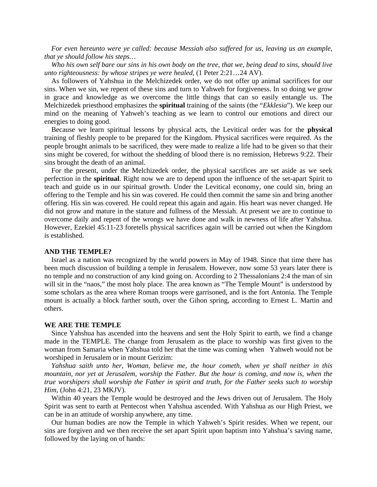*For even hereunto were ye called: because Messiah also suffered for us, leaving us an example, that ye should follow his steps…* 

 *Who his own self bare our sins in his own body on the tree, that we, being dead to sins, should live unto righteousness: by whose stripes ye were healed,* (1 Peter 2:21…24 AV).

 As followers of Yahshua in the Melchizedek order, we do not offer up animal sacrifices for our sins. When we sin, we repent of these sins and turn to Yahweh for forgiveness. In so doing we grow in grace and knowledge as we overcome the little things that can so easily entangle us. The Melchizedek priesthood emphasizes the **spiritual** training of the saints (the "*Ekklesia*"). We keep our mind on the meaning of Yahweh's teaching as we learn to control our emotions and direct our energies to doing good.

 Because we learn spiritual lessons by physical acts, the Levitical order was for the **physical** training of fleshly people to be prepared for the Kingdom. Physical sacrifices were required. As the people brought animals to be sacrificed, they were made to realize a life had to be given so that their sins might be covered, for without the shedding of blood there is no remission, Hebrews 9:22. Their sins brought the death of an animal.

 For the present, under the Melchizedek order, the physical sacrifices are set aside as we seek perfection in the **spiritual**. Right now we are to depend upon the influence of the set-apart Spirit to teach and guide us in our spiritual growth. Under the Levitical economy, one could sin, bring an offering to the Temple and his sin was covered. He could then commit the same sin and bring another offering. His sin was covered. He could repeat this again and again. His heart was never changed. He did not grow and mature in the stature and fullness of the Messiah. At present we are to continue to overcome daily and repent of the wrongs we have done and walk in newness of life after Yahshua. However, Ezekiel 45:11-23 foretells physical sacrifices again will be carried out when the Kingdom is established.

# **AND THE TEMPLE?**

 Israel as a nation was recognized by the world powers in May of 1948. Since that time there has been much discussion of building a temple in Jerusalem. However, now some 53 years later there is no temple and no construction of any kind going on. According to 2 Thessalonians 2:4 the man of sin will sit in the "naos," the most holy place. The area known as "The Temple Mount" is understood by some scholars as the area where Roman troops were garrisoned, and is the fort Antonia. The Temple mount is actually a block farther south, over the Gihon spring, according to Ernest L. Martin and others.

## **WE ARE THE TEMPLE**

 Since Yahshua has ascended into the heavens and sent the Holy Spirit to earth, we find a change made in the TEMPLE. The change from Jerusalem as the place to worship was first given to the woman from Samaria when Yahshua told her that the time was coming when Yahweh would not be worshiped in Jerusalem or in mount Gerizim:

 *Yahshua saith unto her, Woman, believe me, the hour cometh, when ye shall neither in this mountain, nor yet at Jerusalem, worship the Father. But the hour is coming, and now is, when the true worshipers shall worship the Father in spirit and truth, for the Father seeks such to worship Him*, (John 4:21, 23 MKJV).

 Within 40 years the Temple would be destroyed and the Jews driven out of Jerusalem. The Holy Spirit was sent to earth at Pentecost when Yahshua ascended. With Yahshua as our High Priest, we can be in an attitude of worship anywhere, any time.

 Our human bodies are now the Temple in which Yahweh's Spirit resides. When we repent, our sins are forgiven and we then receive the set apart Spirit upon baptism into Yahshua's saving name, followed by the laying on of hands: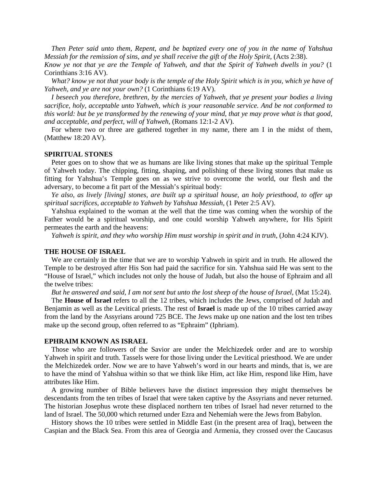*Then Peter said unto them, Repent, and be baptized every one of you in the name of Yahshua Messiah for the remission of sins, and ye shall receive the gift of the Holy Spirit, (Acts 2:38).* 

*Know ye not that ye are the Temple of Yahweh, and that the Spirit of Yahweh dwells in you?* (1 Corinthians 3:16 AV).

 *What? know ye not that your body is the temple of the Holy Spirit which is in you, which ye have of Yahweh, and ye are not your own?* (1 Corinthians 6:19 AV).

 *I beseech you therefore, brethren, by the mercies of Yahweh, that ye present your bodies a living sacrifice, holy, acceptable unto Yahweh, which is your reasonable service. And be not conformed to this world: but be ye transformed by the renewing of your mind, that ye may prove what is that good, and acceptable, and perfect, will of Yahweh,* (Romans 12:1-2 AV).

 For where two or three are gathered together in my name, there am I in the midst of them, (Matthew 18:20 AV).

#### **SPIRITUAL STONES**

 Peter goes on to show that we as humans are like living stones that make up the spiritual Temple of Yahweh today. The chipping, fitting, shaping, and polishing of these living stones that make us fitting for Yahshua's Temple goes on as we strive to overcome the world, our flesh and the adversary, to become a fit part of the Messiah's spiritual body:

 *Ye also, as lively [living] stones, are built up a spiritual house, an holy priesthood, to offer up spiritual sacrifices, acceptable to Yahweh by Yahshua Messiah,* (1 Peter 2:5 AV).

 Yahshua explained to the woman at the well that the time was coming when the worship of the Father would be a spiritual worship, and one could worship Yahweh anywhere, for His Spirit permeates the earth and the heavens:

 *Yahweh is spirit, and they who worship Him must worship in spirit and in truth*, (John 4:24 KJV).

## **THE HOUSE OF ISRAEL**

 We are certainly in the time that we are to worship Yahweh in spirit and in truth. He allowed the Temple to be destroyed after His Son had paid the sacrifice for sin. Yahshua said He was sent to the "House of Israel," which includes not only the house of Judah, but also the house of Ephraim and all the twelve tribes:

 *But he answered and said, I am not sent but unto the lost sheep of the house of Israel*, (Mat 15:24).

 The **House of Israel** refers to all the 12 tribes, which includes the Jews, comprised of Judah and Benjamin as well as the Levitical priests. The rest of **Israel** is made up of the 10 tribes carried away from the land by the Assyrians around 725 BCE. The Jews make up one nation and the lost ten tribes make up the second group, often referred to as "Ephraim" (Iphriam).

## **EPHRAIM KNOWN AS ISRAEL**

 Those who are followers of the Savior are under the Melchizedek order and are to worship Yahweh in spirit and truth. Tassels were for those living under the Levitical priesthood. We are under the Melchizedek order. Now we are to have Yahweh's word in our hearts and minds, that is, we are to have the mind of Yahshua within so that we think like Him, act like Him, respond like Him, have attributes like Him.

 A growing number of Bible believers have the distinct impression they might themselves be descendants from the ten tribes of Israel that were taken captive by the Assyrians and never returned. The historian Josephus wrote these displaced northern ten tribes of Israel had never returned to the land of Israel. The 50,000 which returned under Ezra and Nehemiah were the Jews from Babylon.

 History shows the 10 tribes were settled in Middle East (in the present area of Iraq), between the Caspian and the Black Sea. From this area of Georgia and Armenia, they crossed over the Caucasus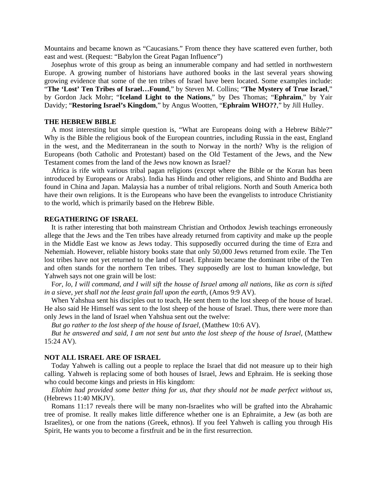Mountains and became known as "Caucasians." From thence they have scattered even further, both east and west. (Request: "Babylon the Great Pagan Influence")

 Josephus wrote of this group as being an innumerable company and had settled in northwestern Europe. A growing number of historians have authored books in the last several years showing growing evidence that some of the ten tribes of Israel have been located. Some examples include: "**The 'Lost' Ten Tribes of Israel…Found**," by Steven M. Collins; "**The Mystery of True Israel**," by Gordon Jack Mohr; "**Iceland Light to the Nations**," by Des Thomas; "**Ephraim**," by Yair Davidy; "**Restoring Israel's Kingdom**," by Angus Wootten, "**Ephraim WHO??**," by Jill Hulley.

# **THE HEBREW BIBLE**

 A most interesting but simple question is, "What are Europeans doing with a Hebrew Bible?" Why is the Bible the religious book of the European countries, including Russia in the east, England in the west, and the Mediterranean in the south to Norway in the north? Why is the religion of Europeans (both Catholic and Protestant) based on the Old Testament of the Jews, and the New Testament comes from the land of the Jews now known as Israel?

 Africa is rife with various tribal pagan religions (except where the Bible or the Koran has been introduced by Europeans or Arabs). India has Hindu and other religions, and Shinto and Buddha are found in China and Japan. Malaysia has a number of tribal religions. North and South America both have their own religions. It is the Europeans who have been the evangelists to introduce Christianity to the world, which is primarily based on the Hebrew Bible.

# **REGATHERING OF ISRAEL**

 It is rather interesting that both mainstream Christian and Orthodox Jewish teachings erroneously allege that the Jews and the Ten tribes have already returned from captivity and make up the people in the Middle East we know as Jews today. This supposedly occurred during the time of Ezra and Nehemiah. However, reliable history books state that only 50,000 Jews returned from exile. The Ten lost tribes have not yet returned to the land of Israel. Ephraim became the dominant tribe of the Ten and often stands for the northern Ten tribes. They supposedly are lost to human knowledge, but Yahweh says not one grain will be lost:

 F*or, lo, I will command, and I will sift the house of Israel among all nations, like as corn is sifted in a sieve, yet shall not the least grain fall upon the earth*, (Amos 9:9 AV).

 When Yahshua sent his disciples out to teach, He sent them to the lost sheep of the house of Israel. He also said He Himself was sent to the lost sheep of the house of Israel. Thus, there were more than only Jews in the land of Israel when Yahshua sent out the twelve:

 *But go rather to the lost sheep of the house of Israel,* (Matthew 10:6 AV).

 *But he answered and said, I am not sent but unto the lost sheep of the house of Israel*, (Matthew 15:24 AV).

## **NOT ALL ISRAEL ARE OF ISRAEL**

 Today Yahweh is calling out a people to replace the Israel that did not measure up to their high calling. Yahweh is replacing some of both houses of Israel, Jews and Ephraim. He is seeking those who could become kings and priests in His kingdom:

 *Elohim had provided some better thing for us, that they should not be made perfect without us*, (Hebrews 11:40 MKJV).

 Romans 11:17 reveals there will be many non-Israelites who will be grafted into the Abrahamic tree of promise. It really makes little difference whether one is an Ephraimite, a Jew (as both are Israelites), or one from the nations (Greek, ethnos). If you feel Yahweh is calling you through His Spirit, He wants you to become a firstfruit and be in the first resurrection.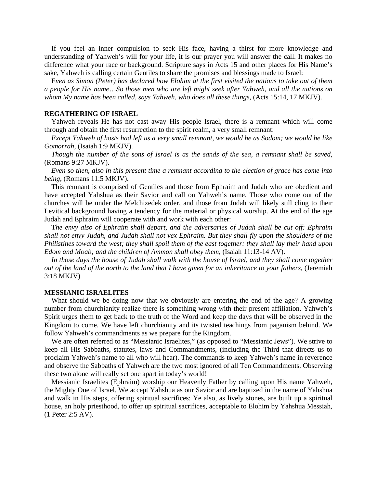If you feel an inner compulsion to seek His face, having a thirst for more knowledge and understanding of Yahweh's will for your life, it is our prayer you will answer the call. It makes no difference what your race or background. Scripture says in Acts 15 and other places for His Name's sake, Yahweh is calling certain Gentiles to share the promises and blessings made to Israel:

 E*ven as Simon (Peter) has declared how Elohim at the first visited the nations to take out of them a people for His name*…*So those men who are left might seek after Yahweh, and all the nations on whom My name has been called, says Yahweh, who does all these things,* (Acts 15:14, 17 MKJV).

#### **REGATHERING OF ISRAEL**

 Yahweh reveals He has not cast away His people Israel, there is a remnant which will come through and obtain the first resurrection to the spirit realm, a very small remnant:

 *Except Yahweh of hosts had left us a very small remnant, we would be as Sodom; we would be like Gomorrah*, (Isaiah 1:9 MKJV).

 *Though the number of the sons of Israel is as the sands of the sea, a remnant shall be saved*, (Romans 9:27 MKJV).

 *Even so then, also in this present time a remnant according to the election of grace has come into being*, (Romans 11:5 MKJV).

 This remnant is comprised of Gentiles and those from Ephraim and Judah who are obedient and have accepted Yahshua as their Savior and call on Yahweh's name. Those who come out of the churches will be under the Melchizedek order, and those from Judah will likely still cling to their Levitical background having a tendency for the material or physical worship. At the end of the age Judah and Ephraim will cooperate with and work with each other:

 T*he envy also of Ephraim shall depart, and the adversaries of Judah shall be cut off: Ephraim shall not envy Judah, and Judah shall not vex Ephraim. But they shall fly upon the shoulders of the Philistines toward the west; they shall spoil them of the east together: they shall lay their hand upon Edom and Moab; and the children of Ammon shall obey them*, (Isaiah 11:13-14 AV).

 *In those days the house of Judah shall walk with the house of Israel, and they shall come together out of the land of the north to the land that I have given for an inheritance to your fathers*, (Jeremiah 3:18 MKJV)

#### **MESSIANIC ISRAELITES**

 What should we be doing now that we obviously are entering the end of the age? A growing number from churchianity realize there is something wrong with their present affiliation. Yahweh's Spirit urges them to get back to the truth of the Word and keep the days that will be observed in the Kingdom to come. We have left churchianity and its twisted teachings from paganism behind. We follow Yahweh's commandments as we prepare for the Kingdom.

 We are often referred to as "Messianic Israelites," (as opposed to "Messianic Jews"). We strive to keep all His Sabbaths, statutes, laws and Commandments, (including the Third that directs us to proclaim Yahweh's name to all who will hear). The commands to keep Yahweh's name in reverence and observe the Sabbaths of Yahweh are the two most ignored of all Ten Commandments. Observing these two alone will really set one apart in today's world!

 Messianic Israelites (Ephraim) worship our Heavenly Father by calling upon His name Yahweh, the Mighty One of Israel. We accept Yahshua as our Savior and are baptized in the name of Yahshua and walk in His steps, offering spiritual sacrifices: Ye also, as lively stones, are built up a spiritual house, an holy priesthood, to offer up spiritual sacrifices, acceptable to Elohim by Yahshua Messiah, (1 Peter 2:5 AV).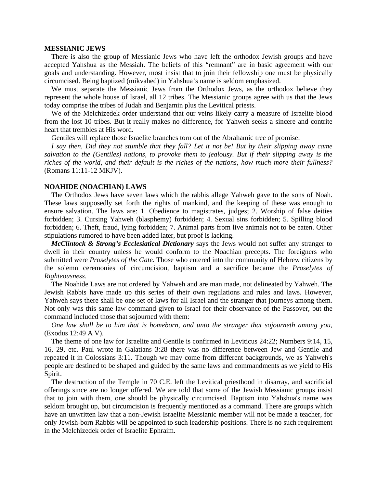# **MESSIANIC JEWS**

 There is also the group of Messianic Jews who have left the orthodox Jewish groups and have accepted Yahshua as the Messiah. The beliefs of this "remnant" are in basic agreement with our goals and understanding. However, most insist that to join their fellowship one must be physically circumcised. Being baptized (mikvahed) in Yahshua's name is seldom emphasized.

 We must separate the Messianic Jews from the Orthodox Jews, as the orthodox believe they represent the whole house of Israel, all 12 tribes. The Messianic groups agree with us that the Jews today comprise the tribes of Judah and Benjamin plus the Levitical priests.

 We of the Melchizedek order understand that our veins likely carry a measure of Israelite blood from the lost 10 tribes. But it really makes no difference, for Yahweh seeks a sincere and contrite heart that trembles at His word.

Gentiles will replace those Israelite branches torn out of the Abrahamic tree of promise:

 *I say then, Did they not stumble that they fall? Let it not be! But by their slipping away came salvation to the (Gentiles) nations, to provoke them to jealousy. But if their slipping away is the riches of the world, and their default is the riches of the nations, how much more their fullness?* (Romans 11:11-12 MKJV).

#### **NOAHIDE (NOACHIAN) LAWS**

 The Orthodox Jews have seven laws which the rabbis allege Yahweh gave to the sons of Noah. These laws supposedly set forth the rights of mankind, and the keeping of these was enough to ensure salvation. The laws are: 1. Obedience to magistrates, judges; 2. Worship of false deities forbidden; 3. Cursing Yahweh (blasphemy) forbidden; 4. Sexual sins forbidden; 5. Spilling blood forbidden; 6. Theft, fraud, lying forbidden; 7. Animal parts from live animals not to be eaten. Other stipulations rumored to have been added later, but proof is lacking.

*McClintock & Strong's Ecclesiatical Dictionary* says the Jews would not suffer any stranger to dwell in their country unless he would conform to the Noachian precepts. The foreigners who submitted were *Proselytes of the Gate*. Those who entered into the community of Hebrew citizens by the solemn ceremonies of circumcision, baptism and a sacrifice became the *Proselytes of Righteousness*.

 The Noahide Laws are not ordered by Yahweh and are man made, not delineated by Yahweh. The Jewish Rabbis have made up this series of their own regulations and rules and laws. However, Yahweh says there shall be one set of laws for all Israel and the stranger that journeys among them. Not only was this same law command given to Israel for their observance of the Passover, but the command included those that sojourned with them:

 *One law shall be to him that is homeborn, and unto the stranger that sojourneth among you*, (Exodus 12:49 A V).

 The theme of one law for Israelite and Gentile is confirmed in Leviticus 24:22; Numbers 9:14, 15, 16, 29, etc. Paul wrote in Galatians 3:28 there was no difference between Jew and Gentile and repeated it in Colossians 3:11. Though we may come from different backgrounds, we as Yahweh's people are destined to be shaped and guided by the same laws and commandments as we yield to His Spirit.

 The destruction of the Temple in 70 C.E. left the Levitical priesthood in disarray, and sacrificial offerings since are no longer offered. We are told that some of the Jewish Messianic groups insist that to join with them, one should be physically circumcised. Baptism into Yahshua's name was seldom brought up, but circumcision is frequently mentioned as a command. There are groups which have an unwritten law that a non-Jewish Israelite Messianic member will not be made a teacher, for only Jewish-born Rabbis will be appointed to such leadership positions. There is no such requirement in the Melchizedek order of Israelite Ephraim.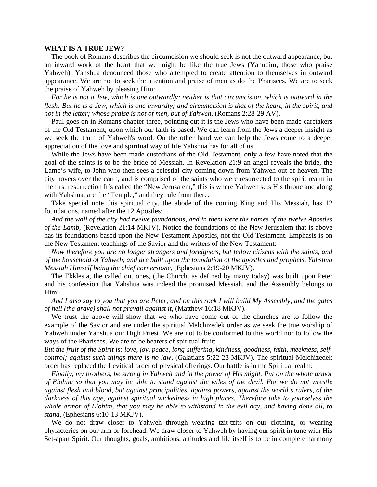## **WHAT IS A TRUE JEW?**

 The book of Romans describes the circumcision we should seek is not the outward appearance, but an inward work of the heart that we might be like the true Jews (Yahudim, those who praise Yahweh). Yahshua denounced those who attempted to create attention to themselves in outward appearance. We are not to seek the attention and praise of men as do the Pharisees. We are to seek the praise of Yahweh by pleasing Him:

 *For he is not a Jew, which is one outwardly; neither is that circumcision, which is outward in the flesh: But he is a Jew, which is one inwardly; and circumcision is that of the heart, in the spirit, and not in the letter; whose praise is not of men, but of Yahweh*, (Romans 2:28-29 AV).

 Paul goes on in Romans chapter three, pointing out it is the Jews who have been made caretakers of the Old Testament, upon which our faith is based. We can learn from the Jews a deeper insight as we seek the truth of Yahweh's word. On the other hand we can help the Jews come to a deeper appreciation of the love and spiritual way of life Yahshua has for all of us.

 While the Jews have been made custodians of the Old Testament, only a few have noted that the goal of the saints is to be the bride of Messiah. In Revelation 21:9 an angel reveals the bride, the Lamb's wife, to John who then sees a celestial city coming down from Yahweh out of heaven. The city hovers over the earth, and is comprised of the saints who were resurrected to the spirit realm in the first resurrection It's called the "New Jerusalem," this is where Yahweh sets His throne and along with Yahshua, are the "Temple," and they rule from there.

 Take special note this spiritual city, the abode of the coming King and His Messiah, has 12 foundations, named after the 12 Apostles:

 *And the wall of the city had twelve foundations, and in them were the names of the twelve Apostles of the Lamb*, (Revelation 21:14 MKJV). Notice the foundations of the New Jerusalem that is above has its foundations based upon the New Testament Apostles, not the Old Testament. Emphasis is on the New Testament teachings of the Savior and the writers of the New Testament:

 *Now therefore you are no longer strangers and foreigners, but fellow citizens with the saints, and of the household of Yahweh, and are built upon the foundation of the apostles and prophets, Yahshua Messiah Himself being the chief cornerstone*, (Ephesians 2:19-20 MKJV).

 The Ekklesia, the called out ones, (the Church, as defined by many today) was built upon Peter and his confession that Yahshua was indeed the promised Messiah, and the Assembly belongs to Him:

 *And I also say to you that you are Peter, and on this rock I will build My Assembly, and the gates of hell (the grave) shall not prevail against it*, (Matthew 16:18 MKJV).

 We trust the above will show that we who have come out of the churches are to follow the example of the Savior and are under the spiritual Melchizedek order as we seek the true worship of Yahweh under Yahshua our High Priest. We are not to be conformed to this world nor to follow the ways of the Pharisees. We are to be bearers of spiritual fruit:

*But the fruit of the Spirit is: love, joy, peace, long-suffering, kindness, goodness, faith, meekness, selfcontrol; against such things there is no law*, (Galatians 5:22-23 MKJV). The spiritual Melchizedek order has replaced the Levitical order of physical offerings. Our battle is in the Spiritual realm:

 *Finally, my brothers, be strong in Yahweh and in the power of His might. Put on the whole armor of Elohim so that you may be able to stand against the wiles of the devil. For we do not wrestle against flesh and blood, but against principalities, against powers, against the world's rulers, of the darkness of this age, against spiritual wickedness in high places. Therefore take to yourselves the whole armor of Elohim, that you may be able to withstand in the evil day, and having done all, to stand*, (Ephesians 6:10-13 MKJV).

 We do not draw closer to Yahweh through wearing tzit-tzits on our clothing, or wearing phylacteries on our arm or forehead. We draw closer to Yahweh by having our spirit in tune with His Set-apart Spirit. Our thoughts, goals, ambitions, attitudes and life itself is to be in complete harmony